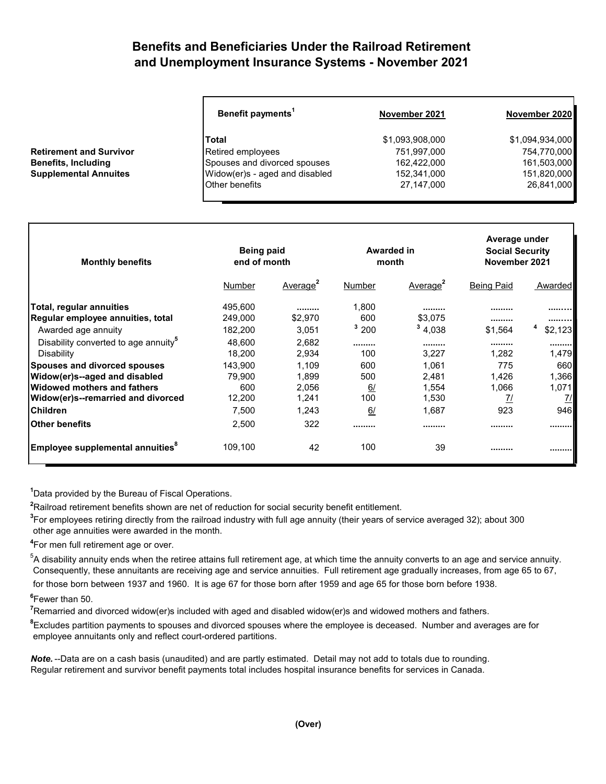## **Benefits and Beneficiaries Under the Railroad Retirement and Unemployment Insurance Systems - November 2021**

|                                | Benefit payments <sup>1</sup>  | November 2021   | November 2020   |  |
|--------------------------------|--------------------------------|-----------------|-----------------|--|
|                                | <b>Total</b>                   | \$1,093,908,000 | \$1,094,934,000 |  |
| <b>Retirement and Survivor</b> | Retired employees              | 751,997,000     | 754,770,000     |  |
| <b>Benefits, Including</b>     | Spouses and divorced spouses   | 162,422,000     | 161,503,000     |  |
| <b>Supplemental Annuites</b>   | Widow(er)s - aged and disabled | 152,341,000     | 151,820,000     |  |
|                                | <b>Other benefits</b>          | 27,147,000      | 26,841,000      |  |

| <b>Monthly benefits</b>                          | <b>Being paid</b><br>end of month |                      | Awarded in<br>month |                      | Average under<br><b>Social Security</b><br>November 2021 |               |
|--------------------------------------------------|-----------------------------------|----------------------|---------------------|----------------------|----------------------------------------------------------|---------------|
|                                                  | Number                            | Average <sup>2</sup> | Number              | Average <sup>2</sup> | <b>Being Paid</b>                                        | Awarded       |
| Total, regular annuities                         | 495,600                           |                      | 1,800               |                      |                                                          |               |
| Regular employee annuities, total                | 249,000                           | \$2,970              | 600                 | \$3.075              |                                                          |               |
| Awarded age annuity                              | 182,200                           | 3,051                | 3200                | 34,038               | \$1.564                                                  | \$2,123       |
| Disability converted to age annuity <sup>5</sup> | 48,600                            | 2,682                |                     |                      |                                                          |               |
| Disability                                       | 18,200                            | 2,934                | 100                 | 3,227                | 1,282                                                    | 1,479         |
| <b>Spouses and divorced spouses</b>              | 143,900                           | 1,109                | 600                 | 1,061                | 775                                                      | 660           |
| Widow(er)s--aged and disabled                    | 79.900                            | 1,899                | 500                 | 2.481                | 1,426                                                    | 1,366         |
| <b>Widowed mothers and fathers</b>               | 600                               | 2,056                | 6/                  | 1,554                | 1,066                                                    | 1,071         |
| Widow(er)s--remarried and divorced               | 12,200                            | 1,241                | 100                 | 1,530                | <u>71</u>                                                | $\frac{7}{2}$ |
| <b>Children</b>                                  | 7,500                             | 1,243                | 6/                  | 1,687                | 923                                                      | 946           |
| lOther benefits                                  | 2,500                             | 322                  |                     |                      |                                                          |               |
| Employee supplemental annuities <sup>8</sup>     | 109,100                           | 42                   | 100                 | 39                   |                                                          |               |

**1** Data provided by the Bureau of Fiscal Operations.

**2** Railroad retirement benefits shown are net of reduction for social security benefit entitlement.

**3** For employees retiring directly from the railroad industry with full age annuity (their years of service averaged 32); about 300 other age annuities were awarded in the month.

**4** For men full retirement age or over.

 $^5$ A disability annuity ends when the retiree attains full retirement age, at which time the annuity converts to an age and service annuity. Consequently, these annuitants are receiving age and service annuities. Full retirement age gradually increases, from age 65 to 67, for those born between 1937 and 1960. It is age 67 for those born after 1959 and age 65 for those born before 1938.

**6** Fewer than 50.

**7** Remarried and divorced widow(er)s included with aged and disabled widow(er)s and widowed mothers and fathers.

**8** Excludes partition payments to spouses and divorced spouses where the employee is deceased. Number and averages are for employee annuitants only and reflect court-ordered partitions.

*Note.* --Data are on a cash basis (unaudited) and are partly estimated. Detail may not add to totals due to rounding. Regular retirement and survivor benefit payments total includes hospital insurance benefits for services in Canada.